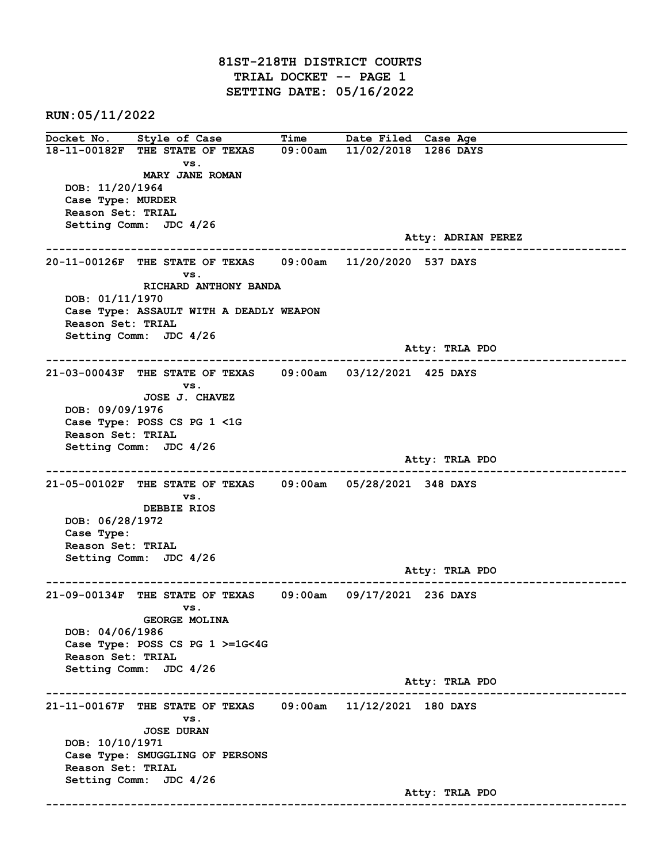81ST-218TH DISTRICT COURTS TRIAL DOCKET -- PAGE 1 SETTING DATE: 05/16/2022

RUN:05/11/2022

Docket No. Style of Case Time Date Filed Case Age 18-11-00182F THE STATE OF TEXAS 09:00am 11/02/2018 1286 DAYS vs. MARY JANE ROMAN DOB: 11/20/1964 Case Type: MURDER Reason Set: TRIAL Setting Comm: JDC 4/26 Atty: ADRIAN PEREZ ------------------------------------------------------------------------------------------------------------------------ 20-11-00126F THE STATE OF TEXAS 09:00am 11/20/2020 537 DAYS vs. RICHARD ANTHONY BANDA DOB: 01/11/1970 Case Type: ASSAULT WITH A DEADLY WEAPON Reason Set: TRIAL Setting Comm: JDC 4/26 Atty: TRLA PDO ------------------------------------------------------------------------------------------------------------------------ 21-03-00043F THE STATE OF TEXAS 09:00am 03/12/2021 425 DAYS vs. JOSE J. CHAVEZ DOB: 09/09/1976 Case Type: POSS CS PG 1 <1G Reason Set: TRIAL Setting Comm: JDC 4/26 Atty: TRLA PDO ------------------------------------------------------------------------------------------------------------------------ 21-05-00102F THE STATE OF TEXAS 09:00am 05/28/2021 348 DAYS vs. DEBBIE RIOS DOB: 06/28/1972 Case Type: Reason Set: TRIAL Setting Comm: JDC 4/26 Atty: TRLA PDO ------------------------------------------------------------------------------------------------------------------------ 21-09-00134F THE STATE OF TEXAS 09:00am 09/17/2021 236 DAYS vs. GEORGE MOLINA DOB: 04/06/1986 Case Type: POSS CS PG 1 >=1G<4G Reason Set: TRIAL Setting Comm: JDC 4/26 Atty: TRLA PDO ------------------------------------------------------------------------------------------------------------------------ 21-11-00167F THE STATE OF TEXAS 09:00am 11/12/2021 180 DAYS vs. JOSE DURAN DOB: 10/10/1971 Case Type: SMUGGLING OF PERSONS Reason Set: TRIAL Setting Comm: JDC 4/26 Atty: TRLA PDO ------------------------------------------------------------------------------------------------------------------------